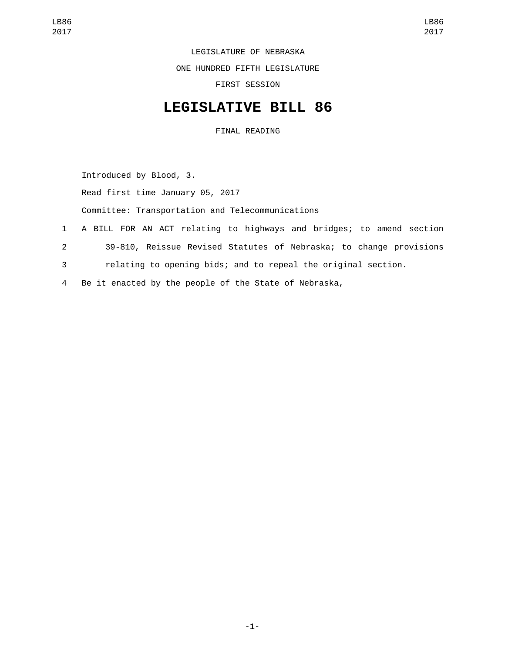LEGISLATURE OF NEBRASKA

ONE HUNDRED FIFTH LEGISLATURE

FIRST SESSION

## **LEGISLATIVE BILL 86**

FINAL READING

Introduced by Blood, 3.

Read first time January 05, 2017

Committee: Transportation and Telecommunications

- 1 A BILL FOR AN ACT relating to highways and bridges; to amend section
- 2 39-810, Reissue Revised Statutes of Nebraska; to change provisions
- 3 relating to opening bids; and to repeal the original section.
- 4 Be it enacted by the people of the State of Nebraska,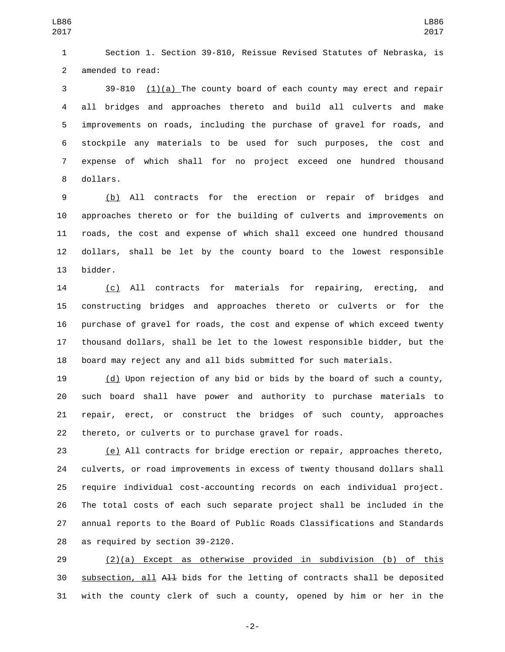Section 1. Section 39-810, Reissue Revised Statutes of Nebraska, is 2 amended to read:

 39-810 (1)(a) The county board of each county may erect and repair all bridges and approaches thereto and build all culverts and make improvements on roads, including the purchase of gravel for roads, and stockpile any materials to be used for such purposes, the cost and expense of which shall for no project exceed one hundred thousand 8 dollars.

 (b) All contracts for the erection or repair of bridges and approaches thereto or for the building of culverts and improvements on roads, the cost and expense of which shall exceed one hundred thousand dollars, shall be let by the county board to the lowest responsible 13 bidder.

 (c) All contracts for materials for repairing, erecting, and constructing bridges and approaches thereto or culverts or for the purchase of gravel for roads, the cost and expense of which exceed twenty thousand dollars, shall be let to the lowest responsible bidder, but the board may reject any and all bids submitted for such materials.

 (d) Upon rejection of any bid or bids by the board of such a county, such board shall have power and authority to purchase materials to repair, erect, or construct the bridges of such county, approaches thereto, or culverts or to purchase gravel for roads.

 (e) All contracts for bridge erection or repair, approaches thereto, culverts, or road improvements in excess of twenty thousand dollars shall require individual cost-accounting records on each individual project. The total costs of each such separate project shall be included in the annual reports to the Board of Public Roads Classifications and Standards 28 as required by section 39-2120.

 (2)(a) Except as otherwise provided in subdivision (b) of this subsection, all All bids for the letting of contracts shall be deposited with the county clerk of such a county, opened by him or her in the

-2-